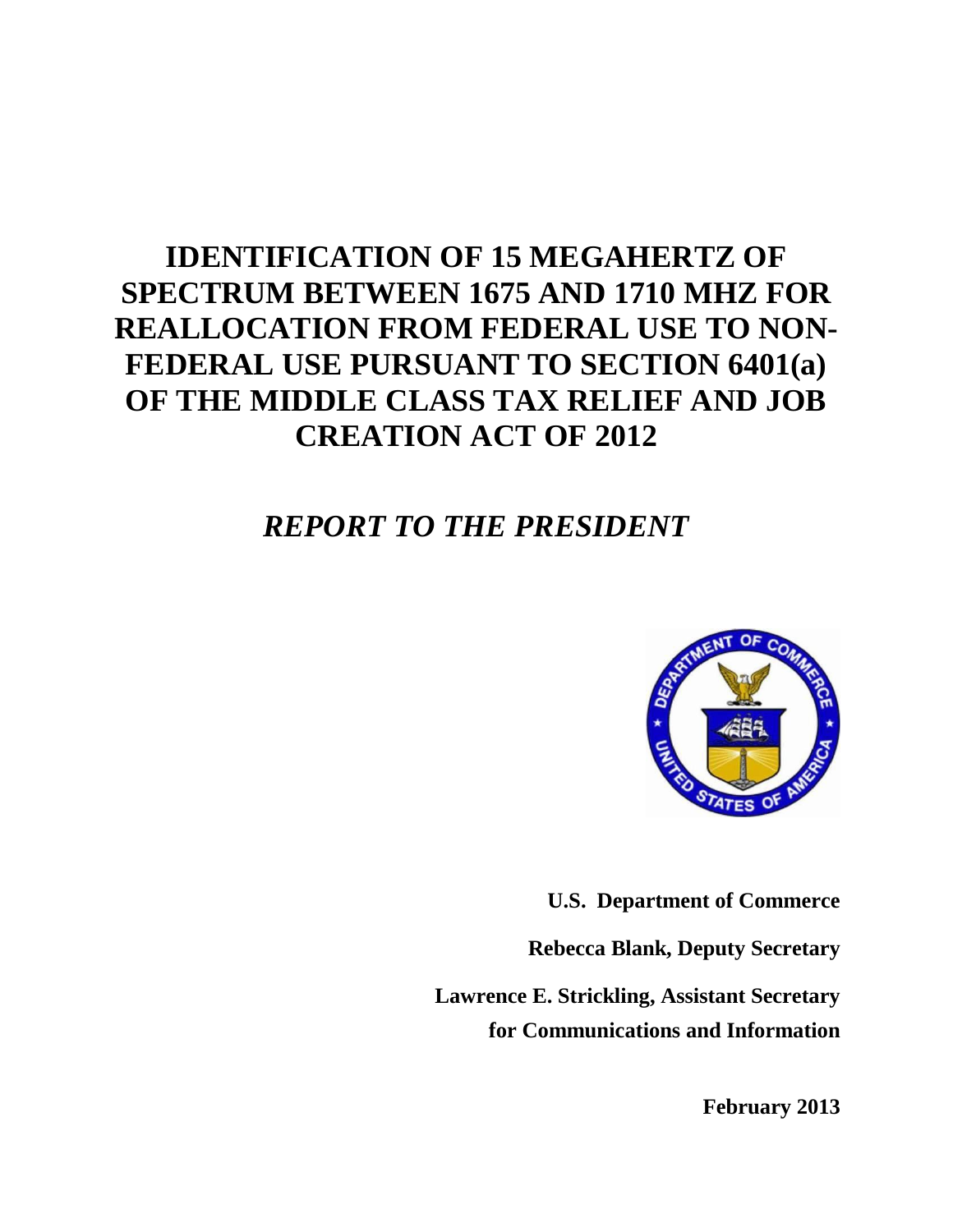## **IDENTIFICATION OF 15 MEGAHERTZ OF SPECTRUM BETWEEN 1675 AND 1710 MHZ FOR REALLOCATION FROM FEDERAL USE TO NON-FEDERAL USE PURSUANT TO SECTION 6401(a) OF THE MIDDLE CLASS TAX RELIEF AND JOB CREATION ACT OF 2012**

## *REPORT TO THE PRESIDENT*



**U.S. Department of Commerce**

**Rebecca Blank, Deputy Secretary**

**Lawrence E. Strickling, Assistant Secretary for Communications and Information**

**February 2013**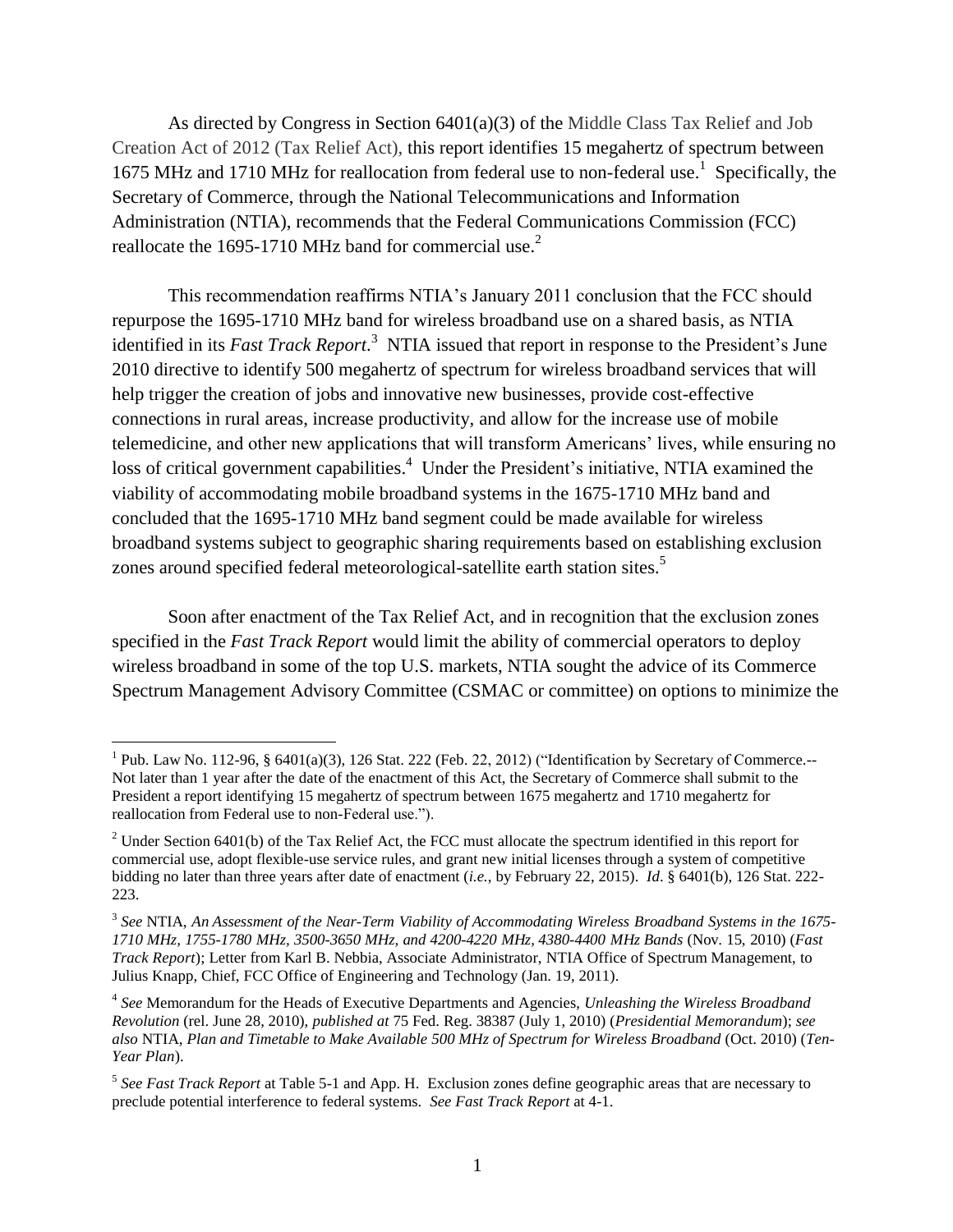As directed by Congress in Section  $6401(a)(3)$  of the Middle Class Tax Relief and Job Creation Act of 2012 (Tax Relief Act), this report identifies 15 megahertz of spectrum between 1675 MHz and 1710 MHz for reallocation from federal use to non-federal use.<sup>1</sup> Specifically, the Secretary of Commerce, through the National Telecommunications and Information Administration (NTIA), recommends that the Federal Communications Commission (FCC) reallocate the 1695-1710 MHz band for commercial use.<sup>2</sup>

This recommendation reaffirms NTIA's January 2011 conclusion that the FCC should repurpose the 1695-1710 MHz band for wireless broadband use on a shared basis, as NTIA identified in its *Fast Track Report*. <sup>3</sup> NTIA issued that report in response to the President's June 2010 directive to identify 500 megahertz of spectrum for wireless broadband services that will help trigger the creation of jobs and innovative new businesses, provide cost-effective connections in rural areas, increase productivity, and allow for the increase use of mobile telemedicine, and other new applications that will transform Americans' lives, while ensuring no loss of critical government capabilities.<sup>4</sup> Under the President's initiative, NTIA examined the viability of accommodating mobile broadband systems in the 1675-1710 MHz band and concluded that the 1695-1710 MHz band segment could be made available for wireless broadband systems subject to geographic sharing requirements based on establishing exclusion zones around specified federal meteorological-satellite earth station sites.<sup>5</sup>

Soon after enactment of the Tax Relief Act, and in recognition that the exclusion zones specified in the *Fast Track Report* would limit the ability of commercial operators to deploy wireless broadband in some of the top U.S. markets, NTIA sought the advice of its Commerce Spectrum Management Advisory Committee (CSMAC or committee) on options to minimize the

 $\overline{a}$ 

<sup>&</sup>lt;sup>1</sup> Pub. Law No. 112-96, § 6401(a)(3), 126 Stat. 222 (Feb. 22, 2012) ("Identification by Secretary of Commerce.--Not later than 1 year after the date of the enactment of this Act, the Secretary of Commerce shall submit to the President a report identifying 15 megahertz of spectrum between 1675 megahertz and 1710 megahertz for reallocation from Federal use to non-Federal use.").

<sup>&</sup>lt;sup>2</sup> Under Section 6401(b) of the Tax Relief Act, the FCC must allocate the spectrum identified in this report for commercial use, adopt flexible-use service rules, and grant new initial licenses through a system of competitive bidding no later than three years after date of enactment (*i.e.*, by February 22, 2015). *Id*. § 6401(b), 126 Stat. 222- 223.

<sup>3</sup> *See* NTIA, *An Assessment of the Near-Term Viability of Accommodating Wireless Broadband Systems in the 1675- 1710 MHz, 1755-1780 MHz, 3500-3650 MHz, and 4200-4220 MHz, 4380-4400 MHz Bands* (Nov. 15, 2010) (*Fast Track Report*); Letter from Karl B. Nebbia, Associate Administrator, NTIA Office of Spectrum Management, to Julius Knapp, Chief, FCC Office of Engineering and Technology (Jan. 19, 2011).

<sup>4</sup> *See* Memorandum for the Heads of Executive Departments and Agencies, *Unleashing the Wireless Broadband Revolution* (rel. June 28, 2010), *published at* 75 Fed. Reg. 38387 (July 1, 2010) (*Presidential Memorandum*); *see also* NTIA, *Plan and Timetable to Make Available 500 MHz of Spectrum for Wireless Broadband* (Oct. 2010) (*Ten-Year Plan*).

<sup>5</sup> *See Fast Track Report* at Table 5-1 and App. H. Exclusion zones define geographic areas that are necessary to preclude potential interference to federal systems. *See Fast Track Report* at 4-1.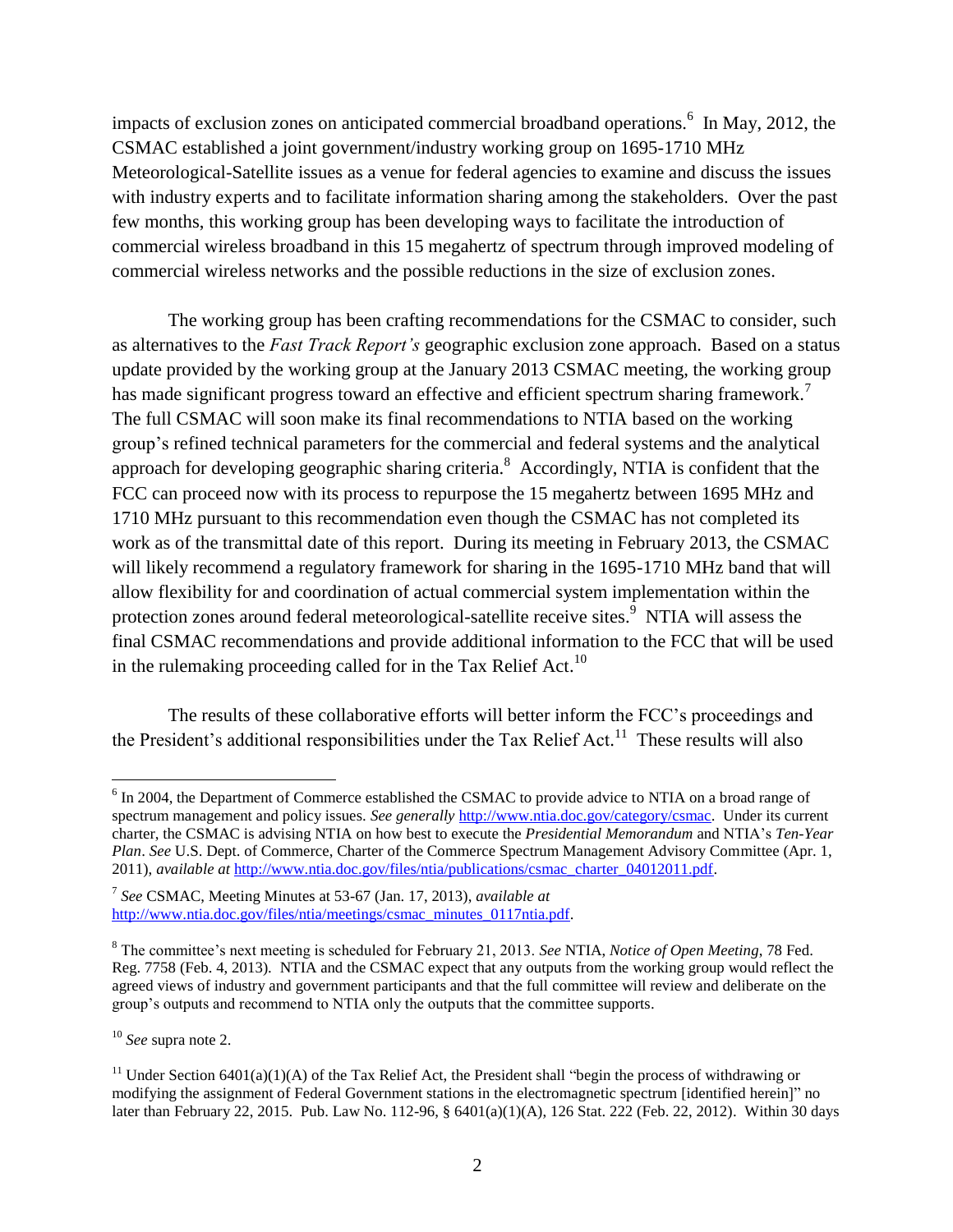impacts of exclusion zones on anticipated commercial broadband operations.<sup>6</sup> In May, 2012, the CSMAC established a joint government/industry working group on 1695-1710 MHz Meteorological-Satellite issues as a venue for federal agencies to examine and discuss the issues with industry experts and to facilitate information sharing among the stakeholders. Over the past few months, this working group has been developing ways to facilitate the introduction of commercial wireless broadband in this 15 megahertz of spectrum through improved modeling of commercial wireless networks and the possible reductions in the size of exclusion zones.

The working group has been crafting recommendations for the CSMAC to consider, such as alternatives to the *Fast Track Report's* geographic exclusion zone approach. Based on a status update provided by the working group at the January 2013 CSMAC meeting, the working group has made significant progress toward an effective and efficient spectrum sharing framework.<sup>7</sup> The full CSMAC will soon make its final recommendations to NTIA based on the working group's refined technical parameters for the commercial and federal systems and the analytical approach for developing geographic sharing criteria.<sup>8</sup> Accordingly, NTIA is confident that the FCC can proceed now with its process to repurpose the 15 megahertz between 1695 MHz and 1710 MHz pursuant to this recommendation even though the CSMAC has not completed its work as of the transmittal date of this report. During its meeting in February 2013, the CSMAC will likely recommend a regulatory framework for sharing in the 1695-1710 MHz band that will allow flexibility for and coordination of actual commercial system implementation within the protection zones around federal meteorological-satellite receive sites.<sup>9</sup> NTIA will assess the final CSMAC recommendations and provide additional information to the FCC that will be used in the rulemaking proceeding called for in the Tax Relief Act.<sup>10</sup>

The results of these collaborative efforts will better inform the FCC's proceedings and the President's additional responsibilities under the Tax Relief Act.<sup>11</sup> These results will also

<sup>10</sup> *See* supra note 2.

 $\overline{a}$ 

<sup>&</sup>lt;sup>6</sup> In 2004, the Department of Commerce established the CSMAC to provide advice to NTIA on a broad range of spectrum management and policy issues. *See generally* [http://www.ntia.doc.gov/category/csmac.](http://www.ntia.doc.gov/category/csmac) Under its current charter, the CSMAC is advising NTIA on how best to execute the *Presidential Memorandum* and NTIA's *Ten-Year Plan*. *See* U.S. Dept. of Commerce, Charter of the Commerce Spectrum Management Advisory Committee (Apr. 1, 2011), *available at* [http://www.ntia.doc.gov/files/ntia/publications/csmac\\_charter\\_04012011.pdf.](http://www.ntia.doc.gov/files/ntia/publications/csmac_charter_04012011.pdf)

<sup>7</sup> *See* CSMAC, Meeting Minutes at 53-67 (Jan. 17, 2013), *available at* [http://www.ntia.doc.gov/files/ntia/meetings/csmac\\_minutes\\_0117ntia.pdf.](http://www.ntia.doc.gov/files/ntia/meetings/csmac_minutes_0117ntia.pdf) 

<sup>8</sup> The committee's next meeting is scheduled for February 21, 2013. *See* NTIA, *Notice of Open Meeting*, 78 Fed. Reg. 7758 (Feb. 4, 2013). NTIA and the CSMAC expect that any outputs from the working group would reflect the agreed views of industry and government participants and that the full committee will review and deliberate on the group's outputs and recommend to NTIA only the outputs that the committee supports.

<sup>&</sup>lt;sup>11</sup> Under Section 6401(a)(1)(A) of the Tax Relief Act, the President shall "begin the process of withdrawing or modifying the assignment of Federal Government stations in the electromagnetic spectrum [identified herein]" no later than February 22, 2015. Pub. Law No. 112-96, § 6401(a)(1)(A), 126 Stat. 222 (Feb. 22, 2012). Within 30 days